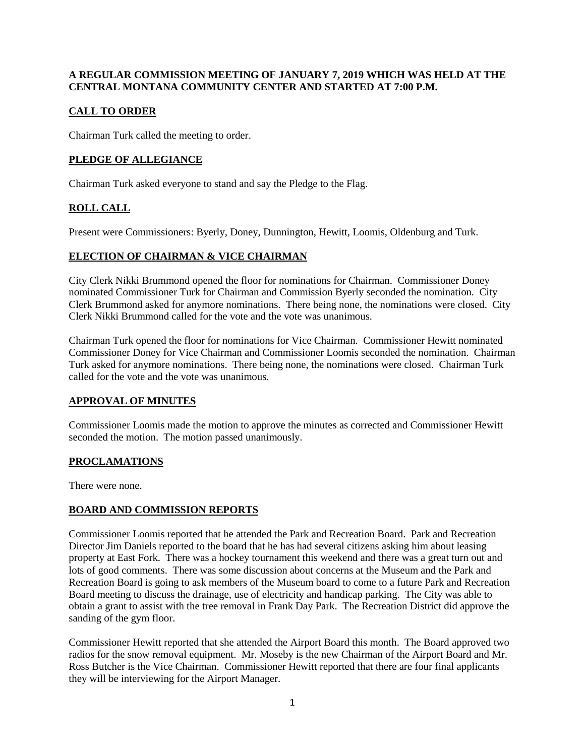### **A REGULAR COMMISSION MEETING OF JANUARY 7, 2019 WHICH WAS HELD AT THE CENTRAL MONTANA COMMUNITY CENTER AND STARTED AT 7:00 P.M.**

## **CALL TO ORDER**

Chairman Turk called the meeting to order.

## **PLEDGE OF ALLEGIANCE**

Chairman Turk asked everyone to stand and say the Pledge to the Flag.

## **ROLL CALL**

Present were Commissioners: Byerly, Doney, Dunnington, Hewitt, Loomis, Oldenburg and Turk.

### **ELECTION OF CHAIRMAN & VICE CHAIRMAN**

City Clerk Nikki Brummond opened the floor for nominations for Chairman. Commissioner Doney nominated Commissioner Turk for Chairman and Commission Byerly seconded the nomination. City Clerk Brummond asked for anymore nominations. There being none, the nominations were closed. City Clerk Nikki Brummond called for the vote and the vote was unanimous.

Chairman Turk opened the floor for nominations for Vice Chairman. Commissioner Hewitt nominated Commissioner Doney for Vice Chairman and Commissioner Loomis seconded the nomination. Chairman Turk asked for anymore nominations. There being none, the nominations were closed. Chairman Turk called for the vote and the vote was unanimous.

#### **APPROVAL OF MINUTES**

Commissioner Loomis made the motion to approve the minutes as corrected and Commissioner Hewitt seconded the motion. The motion passed unanimously.

#### **PROCLAMATIONS**

There were none.

#### **BOARD AND COMMISSION REPORTS**

Commissioner Loomis reported that he attended the Park and Recreation Board. Park and Recreation Director Jim Daniels reported to the board that he has had several citizens asking him about leasing property at East Fork. There was a hockey tournament this weekend and there was a great turn out and lots of good comments. There was some discussion about concerns at the Museum and the Park and Recreation Board is going to ask members of the Museum board to come to a future Park and Recreation Board meeting to discuss the drainage, use of electricity and handicap parking. The City was able to obtain a grant to assist with the tree removal in Frank Day Park. The Recreation District did approve the sanding of the gym floor.

Commissioner Hewitt reported that she attended the Airport Board this month. The Board approved two radios for the snow removal equipment. Mr. Moseby is the new Chairman of the Airport Board and Mr. Ross Butcher is the Vice Chairman. Commissioner Hewitt reported that there are four final applicants they will be interviewing for the Airport Manager.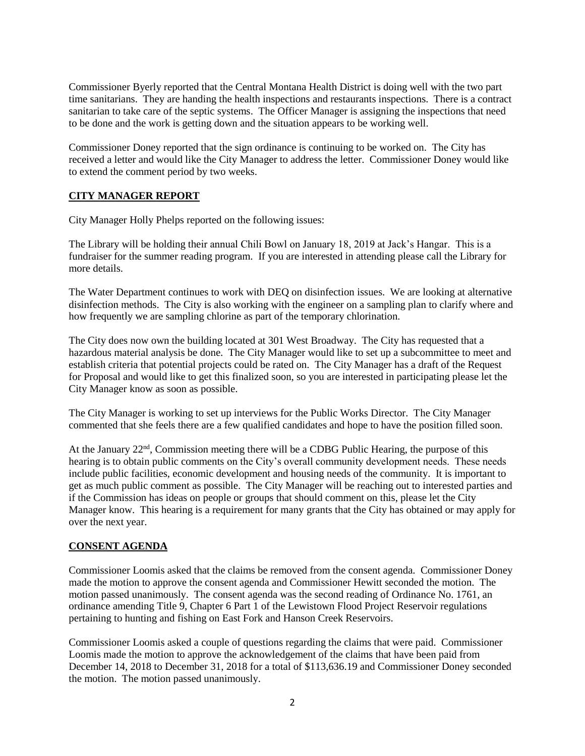Commissioner Byerly reported that the Central Montana Health District is doing well with the two part time sanitarians. They are handing the health inspections and restaurants inspections. There is a contract sanitarian to take care of the septic systems. The Officer Manager is assigning the inspections that need to be done and the work is getting down and the situation appears to be working well.

Commissioner Doney reported that the sign ordinance is continuing to be worked on. The City has received a letter and would like the City Manager to address the letter. Commissioner Doney would like to extend the comment period by two weeks.

### **CITY MANAGER REPORT**

City Manager Holly Phelps reported on the following issues:

The Library will be holding their annual Chili Bowl on January 18, 2019 at Jack's Hangar. This is a fundraiser for the summer reading program. If you are interested in attending please call the Library for more details.

The Water Department continues to work with DEQ on disinfection issues. We are looking at alternative disinfection methods. The City is also working with the engineer on a sampling plan to clarify where and how frequently we are sampling chlorine as part of the temporary chlorination.

The City does now own the building located at 301 West Broadway. The City has requested that a hazardous material analysis be done. The City Manager would like to set up a subcommittee to meet and establish criteria that potential projects could be rated on. The City Manager has a draft of the Request for Proposal and would like to get this finalized soon, so you are interested in participating please let the City Manager know as soon as possible.

The City Manager is working to set up interviews for the Public Works Director. The City Manager commented that she feels there are a few qualified candidates and hope to have the position filled soon.

At the January 22<sup>nd</sup>, Commission meeting there will be a CDBG Public Hearing, the purpose of this hearing is to obtain public comments on the City's overall community development needs. These needs include public facilities, economic development and housing needs of the community. It is important to get as much public comment as possible. The City Manager will be reaching out to interested parties and if the Commission has ideas on people or groups that should comment on this, please let the City Manager know. This hearing is a requirement for many grants that the City has obtained or may apply for over the next year.

#### **CONSENT AGENDA**

Commissioner Loomis asked that the claims be removed from the consent agenda. Commissioner Doney made the motion to approve the consent agenda and Commissioner Hewitt seconded the motion. The motion passed unanimously. The consent agenda was the second reading of Ordinance No. 1761, an ordinance amending Title 9, Chapter 6 Part 1 of the Lewistown Flood Project Reservoir regulations pertaining to hunting and fishing on East Fork and Hanson Creek Reservoirs.

Commissioner Loomis asked a couple of questions regarding the claims that were paid. Commissioner Loomis made the motion to approve the acknowledgement of the claims that have been paid from December 14, 2018 to December 31, 2018 for a total of \$113,636.19 and Commissioner Doney seconded the motion. The motion passed unanimously.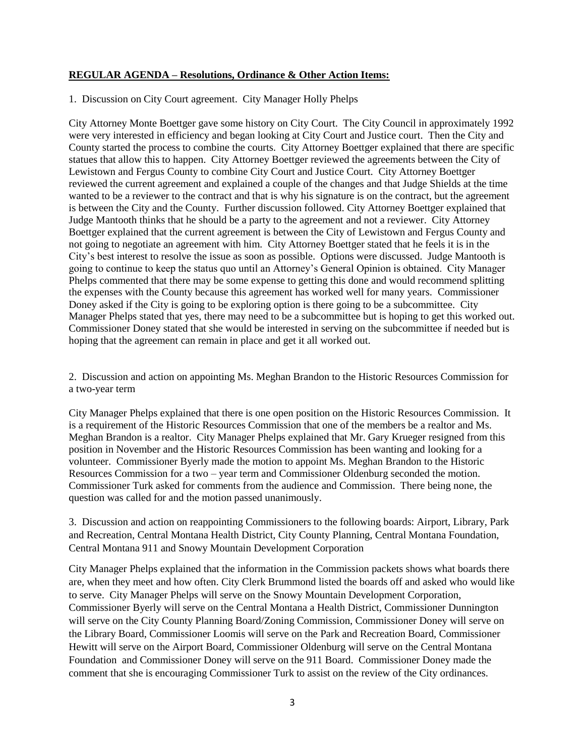#### **REGULAR AGENDA – Resolutions, Ordinance & Other Action Items:**

1. Discussion on City Court agreement. City Manager Holly Phelps

City Attorney Monte Boettger gave some history on City Court. The City Council in approximately 1992 were very interested in efficiency and began looking at City Court and Justice court. Then the City and County started the process to combine the courts. City Attorney Boettger explained that there are specific statues that allow this to happen. City Attorney Boettger reviewed the agreements between the City of Lewistown and Fergus County to combine City Court and Justice Court. City Attorney Boettger reviewed the current agreement and explained a couple of the changes and that Judge Shields at the time wanted to be a reviewer to the contract and that is why his signature is on the contract, but the agreement is between the City and the County. Further discussion followed. City Attorney Boettger explained that Judge Mantooth thinks that he should be a party to the agreement and not a reviewer. City Attorney Boettger explained that the current agreement is between the City of Lewistown and Fergus County and not going to negotiate an agreement with him. City Attorney Boettger stated that he feels it is in the City's best interest to resolve the issue as soon as possible. Options were discussed. Judge Mantooth is going to continue to keep the status quo until an Attorney's General Opinion is obtained. City Manager Phelps commented that there may be some expense to getting this done and would recommend splitting the expenses with the County because this agreement has worked well for many years. Commissioner Doney asked if the City is going to be exploring option is there going to be a subcommittee. City Manager Phelps stated that yes, there may need to be a subcommittee but is hoping to get this worked out. Commissioner Doney stated that she would be interested in serving on the subcommittee if needed but is hoping that the agreement can remain in place and get it all worked out.

2. Discussion and action on appointing Ms. Meghan Brandon to the Historic Resources Commission for a two-year term

City Manager Phelps explained that there is one open position on the Historic Resources Commission. It is a requirement of the Historic Resources Commission that one of the members be a realtor and Ms. Meghan Brandon is a realtor. City Manager Phelps explained that Mr. Gary Krueger resigned from this position in November and the Historic Resources Commission has been wanting and looking for a volunteer. Commissioner Byerly made the motion to appoint Ms. Meghan Brandon to the Historic Resources Commission for a two – year term and Commissioner Oldenburg seconded the motion. Commissioner Turk asked for comments from the audience and Commission. There being none, the question was called for and the motion passed unanimously.

3. Discussion and action on reappointing Commissioners to the following boards: Airport, Library, Park and Recreation, Central Montana Health District, City County Planning, Central Montana Foundation, Central Montana 911 and Snowy Mountain Development Corporation

City Manager Phelps explained that the information in the Commission packets shows what boards there are, when they meet and how often. City Clerk Brummond listed the boards off and asked who would like to serve. City Manager Phelps will serve on the Snowy Mountain Development Corporation, Commissioner Byerly will serve on the Central Montana a Health District, Commissioner Dunnington will serve on the City County Planning Board/Zoning Commission, Commissioner Doney will serve on the Library Board, Commissioner Loomis will serve on the Park and Recreation Board, Commissioner Hewitt will serve on the Airport Board, Commissioner Oldenburg will serve on the Central Montana Foundation and Commissioner Doney will serve on the 911 Board. Commissioner Doney made the comment that she is encouraging Commissioner Turk to assist on the review of the City ordinances.